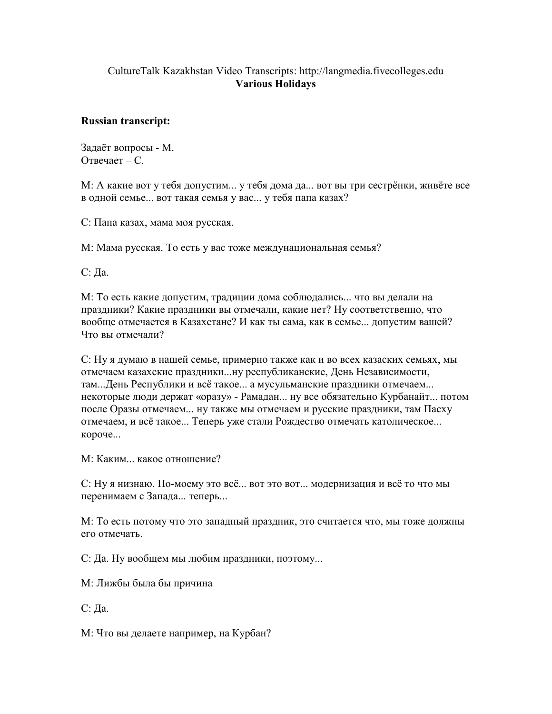## CultureTalk Kazakhstan Video Transcripts: http://langmedia.fivecolleges.edu Various Holidays

## Russian transcript:

Задаёт вопросы - М. Отвечает – С.

М: А какие вот у тебя допустим... у тебя дома да... вот вы три сестрёнки, живёте все в одной семье... вот такая семья у вас... у тебя папа казах?

С: Папа казах, мама моя русская.

М: Мама русская. То есть у вас тоже междунациональная семья?

С: Да.

М: То есть какие допустим, традиции дома соблюдались... что вы делали на праздники? Какие праздники вы отмечали, какие нет? Ну соответственно, что вообще отмечается в Казахстане? И как ты сама, как в семье... допустим вашей? Что вы отмечали?

С: Ну я думаю в нашей семье, примерно также как и во всех казаских семьях, мы отмечаем казахские праздники...ну республиканские, День Независимости, там...День Республики и всё такое... а мусульманские праздники отмечаем... некоторые люди держат «оразу» - Рамадан... ну все обязательно Курбанайт... потом после Оразы отмечаем... ну также мы отмечаем и русские праздники, там Пасху отмечаем, и всё такое... Теперь уже стали Рождество отмечать католическое... короче...

М: Каким... какое отношение?

С: Ну я низнаю. По-моему это всё... вот это вот... модернизация и всё то что мы перенимаем с Запада... теперь...

М: То есть потому что это западный праздник, это считается что, мы тоже должны его отмечать.

С: Да. Ну вообщем мы любим праздники, поэтому...

М: Лижбы была бы причина

С: Да.

М: Что вы делаете например, на Курбан?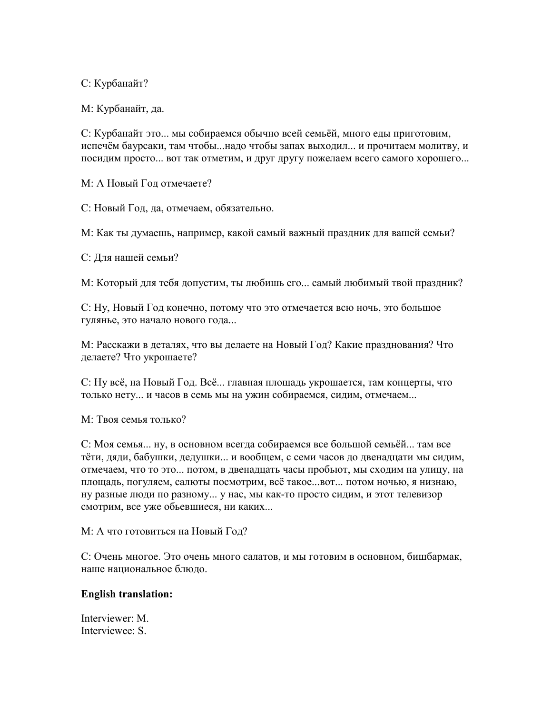С: Курбанайт?

М: Курбанайт, да.

С: Курбанайт это... мы собираемся обычно всей семьёй, много еды приготовим, испечём баурсаки, там чтобы...надо чтобы запах выходил... и прочитаем молитву, и посидим просто... вот так отметим, и друг другу пожелаем всего самого хорошего...

М: А Новый Год отмечаете?

С: Новый Год, да, отмечаем, обязательно.

М: Как ты думаешь, например, какой самый важный праздник для вашей семьи?

С: Для нашей семьи?

М: Который для тебя допустим, ты любишь его... самый любимый твой праздник?

С: Ну, Новый Год конечно, потому что это отмечается всю ночь, это большое гулянье, это начало нового года...

М: Расскажи в деталях, что вы делаете на Новый Год? Какие празднования? Что делаете? Что укрошаете?

С: Ну всё, на Новый Год. Всё... главная площадь укрошается, там концерты, что тoлько нету... и часов в семь мы на ужин собираемся, сидим, отмечаем...

М: Твоя семья только?

С: Моя семья... ну, в основном всегда собираемся все большой семьёй... там все тёти, дяди, бабушки, дедушки... и вообщем, с семи часов до двенадцати мы сидим, отмечаем, что то это... потом, в двенадцать часы пробьют, мы сходим на улицу, на площадь, погуляем, салюты посмотрим, всё такое...вот... потом ночью, я низнаю, ну разные люди по разному... у нас, мы как-то просто сидим, и этот телевизор смотрим, все уже обьевшиеся, ни каких...

М: А что готовиться на Новый Год?

С: Очень многое. Это очень много салатов, и мы готовим в основном, бишбармак, наше национальное блюдо.

## English translation:

Interviewer: M. Interviewee: S.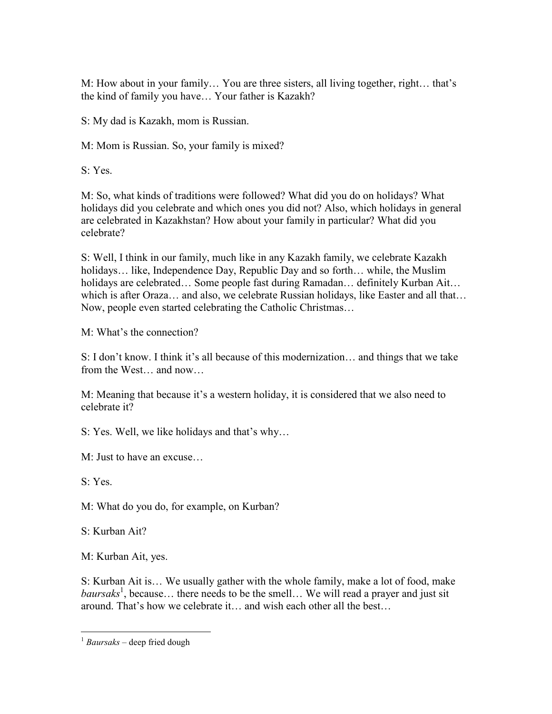M: How about in your family… You are three sisters, all living together, right… that's the kind of family you have… Your father is Kazakh?

S: My dad is Kazakh, mom is Russian.

M: Mom is Russian. So, your family is mixed?

S: Yes.

M: So, what kinds of traditions were followed? What did you do on holidays? What holidays did you celebrate and which ones you did not? Also, which holidays in general are celebrated in Kazakhstan? How about your family in particular? What did you celebrate?

S: Well, I think in our family, much like in any Kazakh family, we celebrate Kazakh holidays… like, Independence Day, Republic Day and so forth… while, the Muslim holidays are celebrated… Some people fast during Ramadan… definitely Kurban Ait… which is after Oraza... and also, we celebrate Russian holidays, like Easter and all that... Now, people even started celebrating the Catholic Christmas…

M: What's the connection?

S: I don't know. I think it's all because of this modernization… and things that we take from the West… and now…

M: Meaning that because it's a western holiday, it is considered that we also need to celebrate it?

S: Yes. Well, we like holidays and that's why…

M: Just to have an excuse…

S: Yes.

M: What do you do, for example, on Kurban?

S: Kurban Ait?

M: Kurban Ait, yes.

S: Kurban Ait is… We usually gather with the whole family, make a lot of food, make baursaks<sup>1</sup>, because... there needs to be the smell... We will read a prayer and just sit around. That's how we celebrate it… and wish each other all the best…

 $\overline{a}$  $1$  Baursaks – deep fried dough